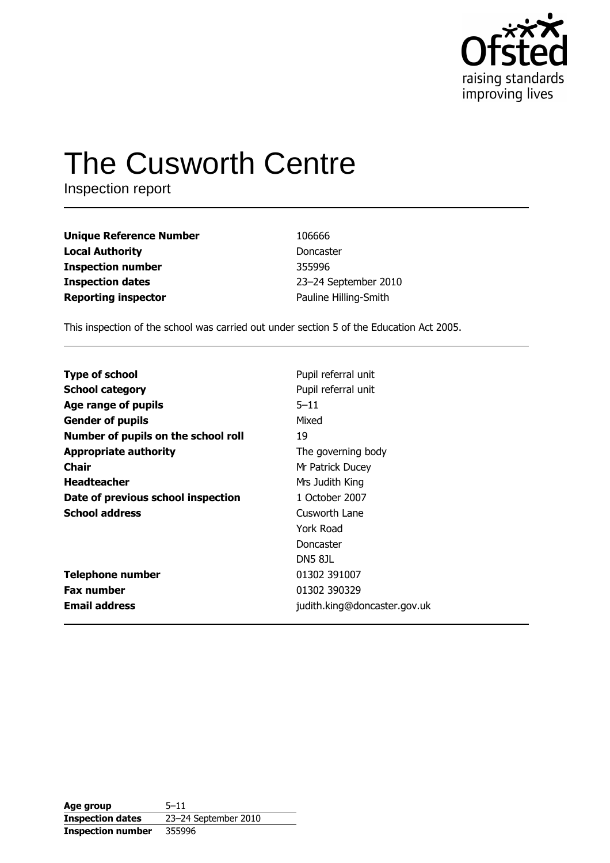

# **The Cusworth Centre**

Inspection report

| Unique Reference Number | 106666                |
|-------------------------|-----------------------|
| Local Authority         | Doncaster             |
| Inspection number       | 355996                |
| <b>Inspection dates</b> | 23-24 September 2010  |
| Reporting inspector     | Pauline Hilling-Smith |

This inspection of the school was carried out under section 5 of the Education Act 2005.

| <b>Type of school</b>               | Pupil referral unit          |
|-------------------------------------|------------------------------|
| <b>School category</b>              | Pupil referral unit          |
| Age range of pupils                 | $5 - 11$                     |
| <b>Gender of pupils</b>             | Mixed                        |
| Number of pupils on the school roll | 19                           |
| <b>Appropriate authority</b>        | The governing body           |
| Chair                               | Mr Patrick Ducey             |
| <b>Headteacher</b>                  | Mrs Judith King              |
| Date of previous school inspection  | 1 October 2007               |
| <b>School address</b>               | Cusworth Lane                |
|                                     | York Road                    |
|                                     | Doncaster                    |
|                                     | DN5 81L                      |
| <b>Telephone number</b>             | 01302 391007                 |
| <b>Fax number</b>                   | 01302 390329                 |
| <b>Email address</b>                | judith.king@doncaster.gov.uk |

Age group  $5 - 11$ 23-24 September 2010 **Inspection dates Inspection number** 355996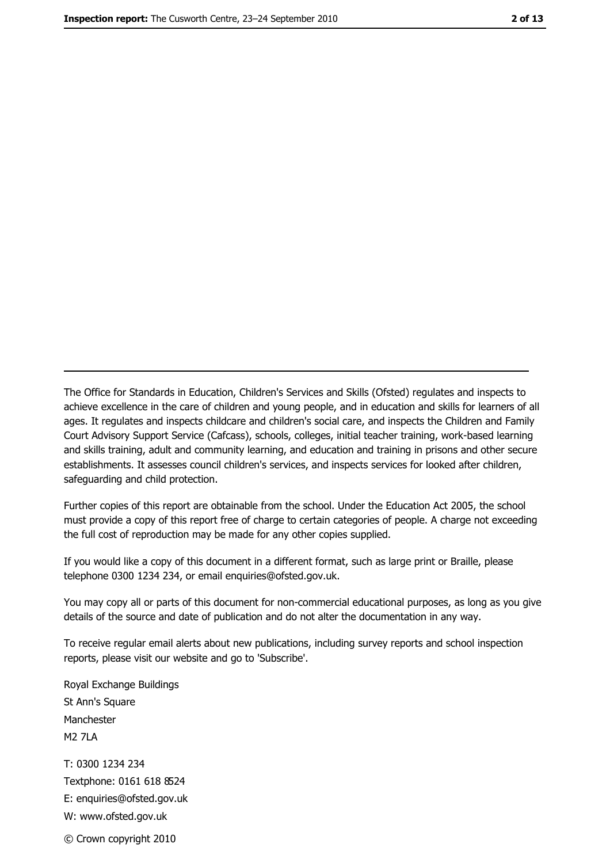The Office for Standards in Education, Children's Services and Skills (Ofsted) regulates and inspects to achieve excellence in the care of children and young people, and in education and skills for learners of all ages. It regulates and inspects childcare and children's social care, and inspects the Children and Family Court Advisory Support Service (Cafcass), schools, colleges, initial teacher training, work-based learning and skills training, adult and community learning, and education and training in prisons and other secure establishments. It assesses council children's services, and inspects services for looked after children, safeguarding and child protection.

Further copies of this report are obtainable from the school. Under the Education Act 2005, the school must provide a copy of this report free of charge to certain categories of people. A charge not exceeding the full cost of reproduction may be made for any other copies supplied.

If you would like a copy of this document in a different format, such as large print or Braille, please telephone 0300 1234 234, or email enquiries@ofsted.gov.uk.

You may copy all or parts of this document for non-commercial educational purposes, as long as you give details of the source and date of publication and do not alter the documentation in any way.

To receive regular email alerts about new publications, including survey reports and school inspection reports, please visit our website and go to 'Subscribe'.

Royal Exchange Buildings St Ann's Square Manchester **M2 7I A** T: 0300 1234 234 Textphone: 0161 618 8524 E: enquiries@ofsted.gov.uk W: www.ofsted.gov.uk

© Crown copyright 2010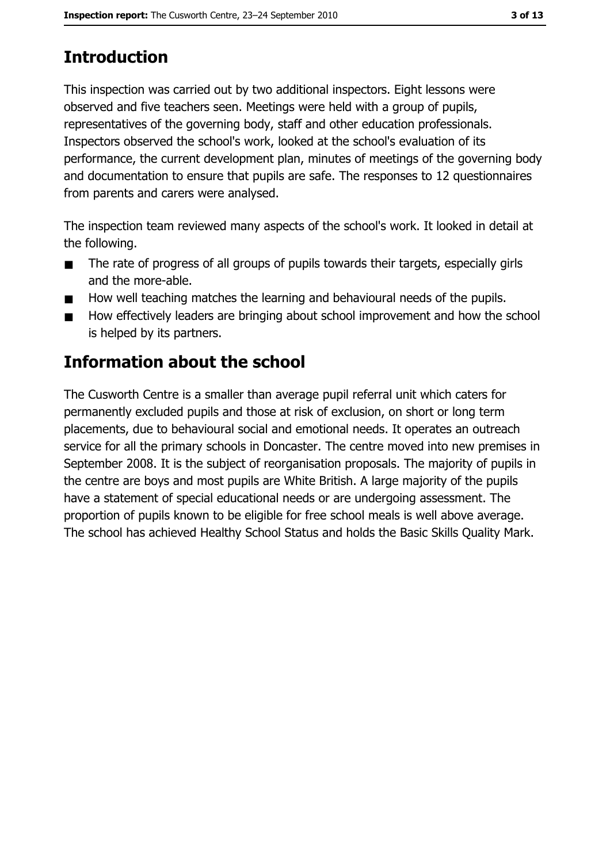This inspection was carried out by two additional inspectors. Eight lessons were observed and five teachers seen. Meetings were held with a group of pupils, representatives of the governing body, staff and other education professionals. Inspectors observed the school's work, looked at the school's evaluation of its performance, the current development plan, minutes of meetings of the governing body and documentation to ensure that pupils are safe. The responses to 12 questionnaires from parents and carers were analysed.

The inspection team reviewed many aspects of the school's work. It looked in detail at the following.

- The rate of progress of all groups of pupils towards their targets, especially girls  $\blacksquare$ and the more-able.
- How well teaching matches the learning and behavioural needs of the pupils.  $\blacksquare$
- How effectively leaders are bringing about school improvement and how the school  $\blacksquare$ is helped by its partners.

# **Information about the school**

The Cusworth Centre is a smaller than average pupil referral unit which caters for permanently excluded pupils and those at risk of exclusion, on short or long term placements, due to behavioural social and emotional needs. It operates an outreach service for all the primary schools in Doncaster. The centre moved into new premises in September 2008. It is the subject of reorganisation proposals. The majority of pupils in the centre are boys and most pupils are White British. A large majority of the pupils have a statement of special educational needs or are undergoing assessment. The proportion of pupils known to be eligible for free school meals is well above average. The school has achieved Healthy School Status and holds the Basic Skills Quality Mark.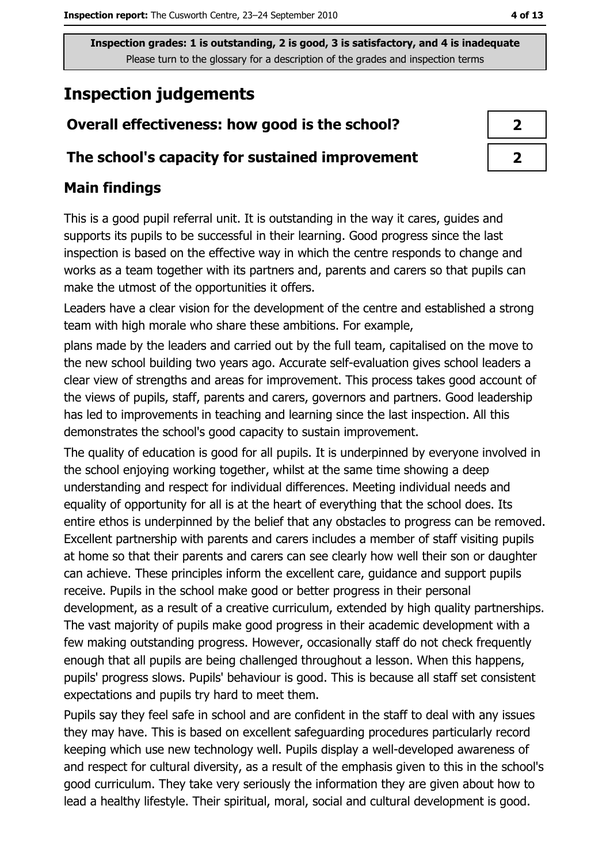# **Inspection judgements**

## Overall effectiveness: how good is the school?

#### The school's capacity for sustained improvement

## **Main findings**

This is a good pupil referral unit. It is outstanding in the way it cares, guides and supports its pupils to be successful in their learning. Good progress since the last inspection is based on the effective way in which the centre responds to change and works as a team together with its partners and, parents and carers so that pupils can make the utmost of the opportunities it offers.

Leaders have a clear vision for the development of the centre and established a strong team with high morale who share these ambitions. For example,

plans made by the leaders and carried out by the full team, capitalised on the move to the new school building two years ago. Accurate self-evaluation gives school leaders a clear view of strengths and areas for improvement. This process takes good account of the views of pupils, staff, parents and carers, governors and partners. Good leadership has led to improvements in teaching and learning since the last inspection. All this demonstrates the school's good capacity to sustain improvement.

The quality of education is good for all pupils. It is underpinned by everyone involved in the school enjoying working together, whilst at the same time showing a deep understanding and respect for individual differences. Meeting individual needs and equality of opportunity for all is at the heart of everything that the school does. Its entire ethos is underpinned by the belief that any obstacles to progress can be removed. Excellent partnership with parents and carers includes a member of staff visiting pupils at home so that their parents and carers can see clearly how well their son or daughter can achieve. These principles inform the excellent care, guidance and support pupils receive. Pupils in the school make good or better progress in their personal development, as a result of a creative curriculum, extended by high quality partnerships. The vast majority of pupils make good progress in their academic development with a few making outstanding progress. However, occasionally staff do not check frequently enough that all pupils are being challenged throughout a lesson. When this happens, pupils' progress slows. Pupils' behaviour is good. This is because all staff set consistent expectations and pupils try hard to meet them.

Pupils say they feel safe in school and are confident in the staff to deal with any issues they may have. This is based on excellent safeguarding procedures particularly record keeping which use new technology well. Pupils display a well-developed awareness of and respect for cultural diversity, as a result of the emphasis given to this in the school's good curriculum. They take very seriously the information they are given about how to lead a healthy lifestyle. Their spiritual, moral, social and cultural development is good.

| ↗ |
|---|
| Z |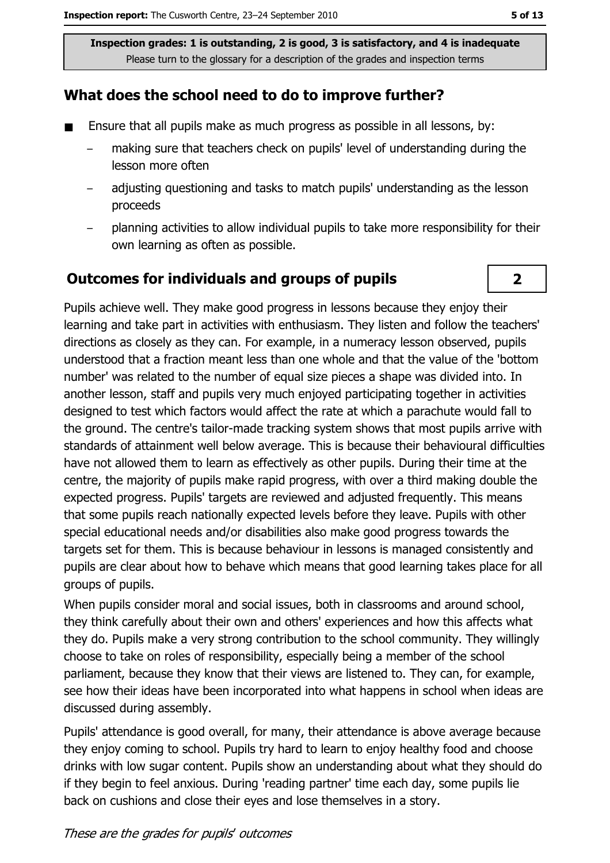### What does the school need to do to improve further?

- Ensure that all pupils make as much progress as possible in all lessons, by:  $\blacksquare$ 
	- making sure that teachers check on pupils' level of understanding during the lesson more often
	- adjusting questioning and tasks to match pupils' understanding as the lesson proceeds
	- planning activities to allow individual pupils to take more responsibility for their  $\equiv$ own learning as often as possible.

#### **Outcomes for individuals and groups of pupils**

Pupils achieve well. They make good progress in lessons because they enjoy their learning and take part in activities with enthusiasm. They listen and follow the teachers' directions as closely as they can. For example, in a numeracy lesson observed, pupils understood that a fraction meant less than one whole and that the value of the 'bottom number' was related to the number of equal size pieces a shape was divided into. In another lesson, staff and pupils very much enjoyed participating together in activities designed to test which factors would affect the rate at which a parachute would fall to the ground. The centre's tailor-made tracking system shows that most pupils arrive with standards of attainment well below average. This is because their behavioural difficulties have not allowed them to learn as effectively as other pupils. During their time at the centre, the majority of pupils make rapid progress, with over a third making double the expected progress. Pupils' targets are reviewed and adjusted frequently. This means that some pupils reach nationally expected levels before they leave. Pupils with other special educational needs and/or disabilities also make good progress towards the targets set for them. This is because behaviour in lessons is managed consistently and pupils are clear about how to behave which means that good learning takes place for all groups of pupils.

When pupils consider moral and social issues, both in classrooms and around school, they think carefully about their own and others' experiences and how this affects what they do. Pupils make a very strong contribution to the school community. They willingly choose to take on roles of responsibility, especially being a member of the school parliament, because they know that their views are listened to. They can, for example, see how their ideas have been incorporated into what happens in school when ideas are discussed during assembly.

Pupils' attendance is good overall, for many, their attendance is above average because they enjoy coming to school. Pupils try hard to learn to enjoy healthy food and choose drinks with low sugar content. Pupils show an understanding about what they should do if they begin to feel anxious. During 'reading partner' time each day, some pupils lie back on cushions and close their eyes and lose themselves in a story.

 $\overline{2}$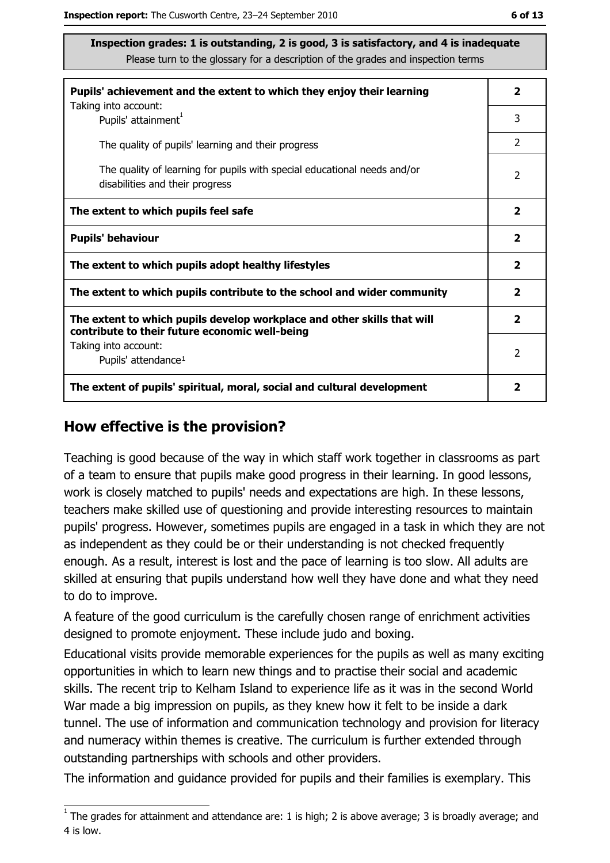| Pupils' achievement and the extent to which they enjoy their learning                                                     |                |  |
|---------------------------------------------------------------------------------------------------------------------------|----------------|--|
| Taking into account:<br>Pupils' attainment <sup>1</sup>                                                                   | 3              |  |
| The quality of pupils' learning and their progress                                                                        | $\overline{2}$ |  |
| The quality of learning for pupils with special educational needs and/or<br>disabilities and their progress               |                |  |
| The extent to which pupils feel safe                                                                                      |                |  |
| <b>Pupils' behaviour</b>                                                                                                  |                |  |
| The extent to which pupils adopt healthy lifestyles                                                                       |                |  |
| The extent to which pupils contribute to the school and wider community                                                   |                |  |
| The extent to which pupils develop workplace and other skills that will<br>contribute to their future economic well-being |                |  |
| Taking into account:                                                                                                      | $\mathcal{P}$  |  |
| Pupils' attendance <sup>1</sup>                                                                                           |                |  |
| The extent of pupils' spiritual, moral, social and cultural development                                                   |                |  |

#### How effective is the provision?

Teaching is good because of the way in which staff work together in classrooms as part of a team to ensure that pupils make good progress in their learning. In good lessons, work is closely matched to pupils' needs and expectations are high. In these lessons, teachers make skilled use of questioning and provide interesting resources to maintain pupils' progress. However, sometimes pupils are engaged in a task in which they are not as independent as they could be or their understanding is not checked frequently enough. As a result, interest is lost and the pace of learning is too slow. All adults are skilled at ensuring that pupils understand how well they have done and what they need to do to improve.

A feature of the good curriculum is the carefully chosen range of enrichment activities designed to promote enjoyment. These include judo and boxing.

Educational visits provide memorable experiences for the pupils as well as many exciting opportunities in which to learn new things and to practise their social and academic skills. The recent trip to Kelham Island to experience life as it was in the second World War made a big impression on pupils, as they knew how it felt to be inside a dark tunnel. The use of information and communication technology and provision for literacy and numeracy within themes is creative. The curriculum is further extended through outstanding partnerships with schools and other providers.

The information and quidance provided for pupils and their families is exemplary. This

 $\overline{1}$  The grades for attainment and attendance are: 1 is high; 2 is above average; 3 is broadly average; and 4 is low.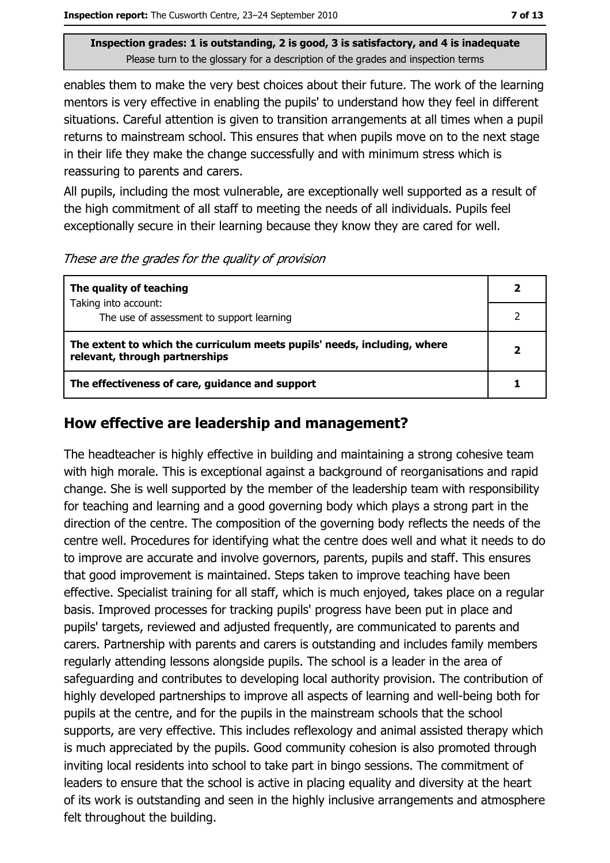enables them to make the very best choices about their future. The work of the learning mentors is very effective in enabling the pupils' to understand how they feel in different situations. Careful attention is given to transition arrangements at all times when a pupil returns to mainstream school. This ensures that when pupils move on to the next stage in their life they make the change successfully and with minimum stress which is reassuring to parents and carers.

All pupils, including the most vulnerable, are exceptionally well supported as a result of the high commitment of all staff to meeting the needs of all individuals. Pupils feel exceptionally secure in their learning because they know they are cared for well.

These are the grades for the quality of provision

| The quality of teaching                                                                                    |  |
|------------------------------------------------------------------------------------------------------------|--|
| Taking into account:<br>The use of assessment to support learning                                          |  |
| The extent to which the curriculum meets pupils' needs, including, where<br>relevant, through partnerships |  |
| The effectiveness of care, guidance and support                                                            |  |

#### How effective are leadership and management?

The headteacher is highly effective in building and maintaining a strong cohesive team with high morale. This is exceptional against a background of reorganisations and rapid change. She is well supported by the member of the leadership team with responsibility for teaching and learning and a good governing body which plays a strong part in the direction of the centre. The composition of the governing body reflects the needs of the centre well. Procedures for identifying what the centre does well and what it needs to do to improve are accurate and involve governors, parents, pupils and staff. This ensures that good improvement is maintained. Steps taken to improve teaching have been effective. Specialist training for all staff, which is much enjoyed, takes place on a regular basis. Improved processes for tracking pupils' progress have been put in place and pupils' targets, reviewed and adjusted frequently, are communicated to parents and carers. Partnership with parents and carers is outstanding and includes family members regularly attending lessons alongside pupils. The school is a leader in the area of safeguarding and contributes to developing local authority provision. The contribution of highly developed partnerships to improve all aspects of learning and well-being both for pupils at the centre, and for the pupils in the mainstream schools that the school supports, are very effective. This includes reflexology and animal assisted therapy which is much appreciated by the pupils. Good community cohesion is also promoted through inviting local residents into school to take part in bingo sessions. The commitment of leaders to ensure that the school is active in placing equality and diversity at the heart of its work is outstanding and seen in the highly inclusive arrangements and atmosphere felt throughout the building.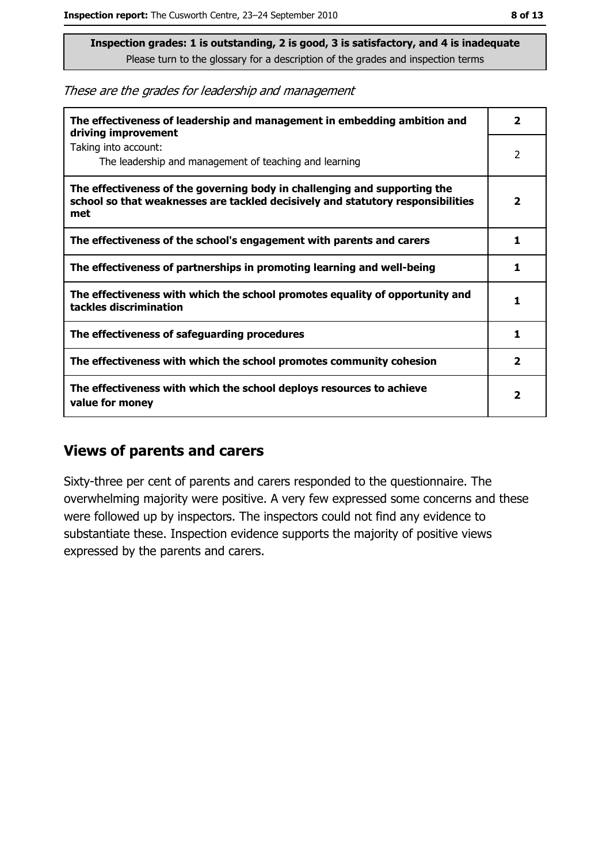These are the grades for leadership and management

| The effectiveness of leadership and management in embedding ambition and<br>driving improvement                                                                     |                         |  |
|---------------------------------------------------------------------------------------------------------------------------------------------------------------------|-------------------------|--|
| Taking into account:<br>The leadership and management of teaching and learning                                                                                      | 2                       |  |
| The effectiveness of the governing body in challenging and supporting the<br>school so that weaknesses are tackled decisively and statutory responsibilities<br>met | $\overline{\mathbf{2}}$ |  |
| The effectiveness of the school's engagement with parents and carers                                                                                                | 1                       |  |
| The effectiveness of partnerships in promoting learning and well-being                                                                                              | 1                       |  |
| The effectiveness with which the school promotes equality of opportunity and<br>tackles discrimination                                                              |                         |  |
| The effectiveness of safeguarding procedures                                                                                                                        | 1                       |  |
| The effectiveness with which the school promotes community cohesion                                                                                                 | $\overline{\mathbf{2}}$ |  |
| The effectiveness with which the school deploys resources to achieve<br>value for money                                                                             |                         |  |

#### **Views of parents and carers**

Sixty-three per cent of parents and carers responded to the questionnaire. The overwhelming majority were positive. A very few expressed some concerns and these were followed up by inspectors. The inspectors could not find any evidence to substantiate these. Inspection evidence supports the majority of positive views expressed by the parents and carers.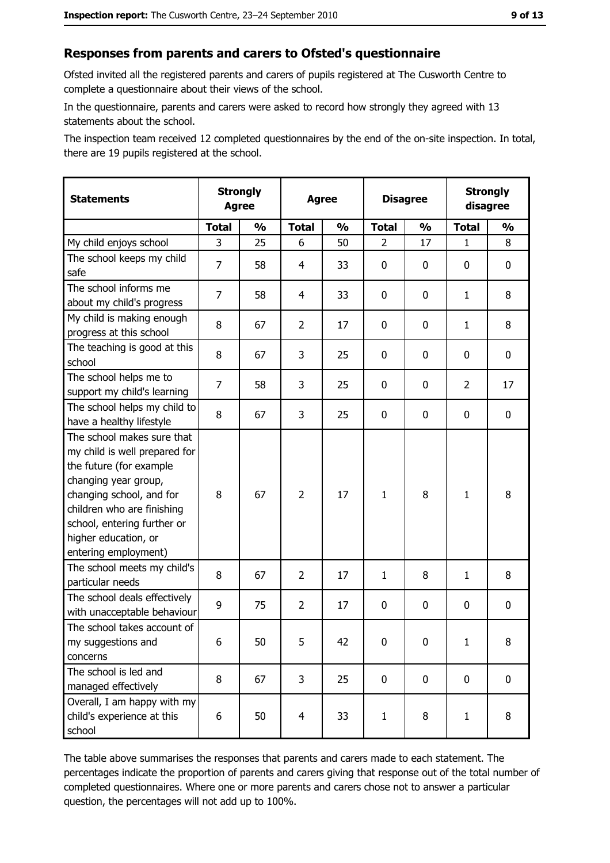#### Responses from parents and carers to Ofsted's questionnaire

Ofsted invited all the registered parents and carers of pupils registered at The Cusworth Centre to complete a questionnaire about their views of the school.

In the questionnaire, parents and carers were asked to record how strongly they agreed with 13 statements about the school.

The inspection team received 12 completed questionnaires by the end of the on-site inspection. In total, there are 19 pupils registered at the school.

| <b>Statements</b>                                                                                                                                                                                                                                       | <b>Strongly</b><br><b>Agree</b> |               | <b>Agree</b>            |               | <b>Disagree</b> |               | <b>Strongly</b><br>disagree |                  |
|---------------------------------------------------------------------------------------------------------------------------------------------------------------------------------------------------------------------------------------------------------|---------------------------------|---------------|-------------------------|---------------|-----------------|---------------|-----------------------------|------------------|
|                                                                                                                                                                                                                                                         | <b>Total</b>                    | $\frac{0}{0}$ | <b>Total</b>            | $\frac{0}{0}$ | <b>Total</b>    | $\frac{1}{2}$ | <b>Total</b>                | $\frac{1}{2}$    |
| My child enjoys school                                                                                                                                                                                                                                  | 3                               | 25            | 6                       | 50            | 2               | 17            | $\mathbf{1}$                | 8                |
| The school keeps my child<br>safe                                                                                                                                                                                                                       | 7                               | 58            | 4                       | 33            | $\mathbf 0$     | 0             | 0                           | $\mathbf 0$      |
| The school informs me<br>about my child's progress                                                                                                                                                                                                      | $\overline{7}$                  | 58            | 4                       | 33            | $\mathbf 0$     | 0             | 1                           | 8                |
| My child is making enough<br>progress at this school                                                                                                                                                                                                    | 8                               | 67            | $\overline{2}$          | 17            | $\mathbf 0$     | 0             | $\mathbf{1}$                | 8                |
| The teaching is good at this<br>school                                                                                                                                                                                                                  | 8                               | 67            | 3                       | 25            | $\mathbf 0$     | 0             | 0                           | 0                |
| The school helps me to<br>support my child's learning                                                                                                                                                                                                   | 7                               | 58            | 3                       | 25            | $\mathbf 0$     | 0             | $\overline{2}$              | 17               |
| The school helps my child to<br>have a healthy lifestyle                                                                                                                                                                                                | 8                               | 67            | 3                       | 25            | $\mathbf 0$     | 0             | 0                           | $\mathbf 0$      |
| The school makes sure that<br>my child is well prepared for<br>the future (for example<br>changing year group,<br>changing school, and for<br>children who are finishing<br>school, entering further or<br>higher education, or<br>entering employment) | 8                               | 67            | $\overline{2}$          | 17            | $\mathbf{1}$    | 8             | 1                           | 8                |
| The school meets my child's<br>particular needs                                                                                                                                                                                                         | 8                               | 67            | $\overline{2}$          | 17            | 1               | 8             | 1                           | 8                |
| The school deals effectively<br>with unacceptable behaviour                                                                                                                                                                                             | 9                               | 75            | $\overline{2}$          | 17            | $\mathbf 0$     | 0             | 0                           | $\boldsymbol{0}$ |
| The school takes account of<br>my suggestions and<br>concerns                                                                                                                                                                                           | 6                               | 50            | 5                       | 42            | 0               | 0             | $\mathbf{1}$                | 8                |
| The school is led and<br>managed effectively                                                                                                                                                                                                            | 8                               | 67            | 3                       | 25            | $\mathbf 0$     | 0             | $\mathbf 0$                 | 0                |
| Overall, I am happy with my<br>child's experience at this<br>school                                                                                                                                                                                     | 6                               | 50            | $\overline{\mathbf{4}}$ | 33            | $\mathbf{1}$    | 8             | $\mathbf{1}$                | 8                |

The table above summarises the responses that parents and carers made to each statement. The percentages indicate the proportion of parents and carers giving that response out of the total number of completed questionnaires. Where one or more parents and carers chose not to answer a particular question, the percentages will not add up to 100%.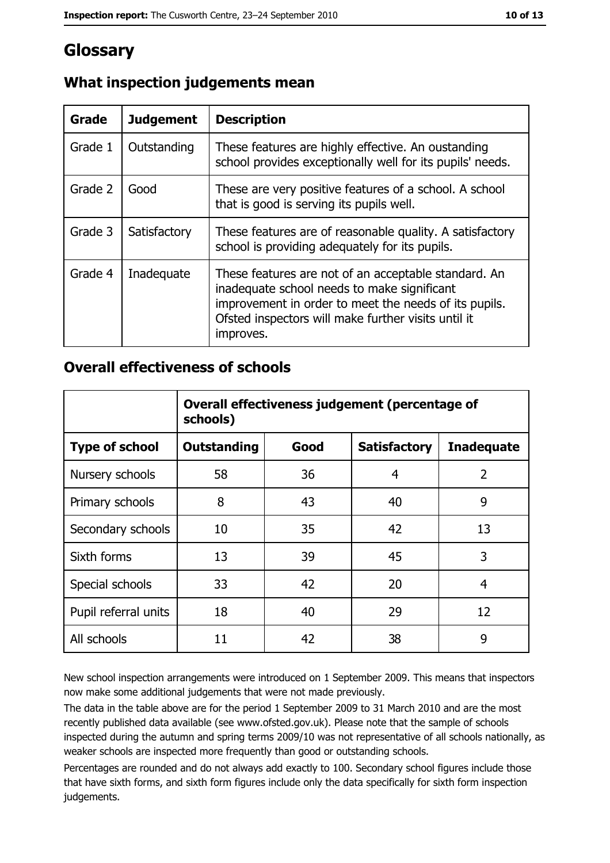## Glossary

| Grade   | <b>Judgement</b> | <b>Description</b>                                                                                                                                                                                                               |  |
|---------|------------------|----------------------------------------------------------------------------------------------------------------------------------------------------------------------------------------------------------------------------------|--|
| Grade 1 | Outstanding      | These features are highly effective. An oustanding<br>school provides exceptionally well for its pupils' needs.                                                                                                                  |  |
| Grade 2 | Good             | These are very positive features of a school. A school<br>that is good is serving its pupils well.                                                                                                                               |  |
| Grade 3 | Satisfactory     | These features are of reasonable quality. A satisfactory<br>school is providing adequately for its pupils.                                                                                                                       |  |
| Grade 4 | Inadequate       | These features are not of an acceptable standard. An<br>inadequate school needs to make significant<br>improvement in order to meet the needs of its pupils.<br>Ofsted inspectors will make further visits until it<br>improves. |  |

## What inspection judgements mean

#### **Overall effectiveness of schools**

|                       | Overall effectiveness judgement (percentage of<br>schools) |      |                     |                   |
|-----------------------|------------------------------------------------------------|------|---------------------|-------------------|
| <b>Type of school</b> | <b>Outstanding</b>                                         | Good | <b>Satisfactory</b> | <b>Inadequate</b> |
| Nursery schools       | 58                                                         | 36   | 4                   | $\overline{2}$    |
| Primary schools       | 8                                                          | 43   | 40                  | 9                 |
| Secondary schools     | 10                                                         | 35   | 42                  | 13                |
| Sixth forms           | 13                                                         | 39   | 45                  | 3                 |
| Special schools       | 33                                                         | 42   | 20                  | 4                 |
| Pupil referral units  | 18                                                         | 40   | 29                  | 12                |
| All schools           | 11                                                         | 42   | 38                  | 9                 |

New school inspection arrangements were introduced on 1 September 2009. This means that inspectors now make some additional judgements that were not made previously.

The data in the table above are for the period 1 September 2009 to 31 March 2010 and are the most recently published data available (see www.ofsted.gov.uk). Please note that the sample of schools inspected during the autumn and spring terms 2009/10 was not representative of all schools nationally, as weaker schools are inspected more frequently than good or outstanding schools.

Percentages are rounded and do not always add exactly to 100. Secondary school figures include those that have sixth forms, and sixth form figures include only the data specifically for sixth form inspection judgements.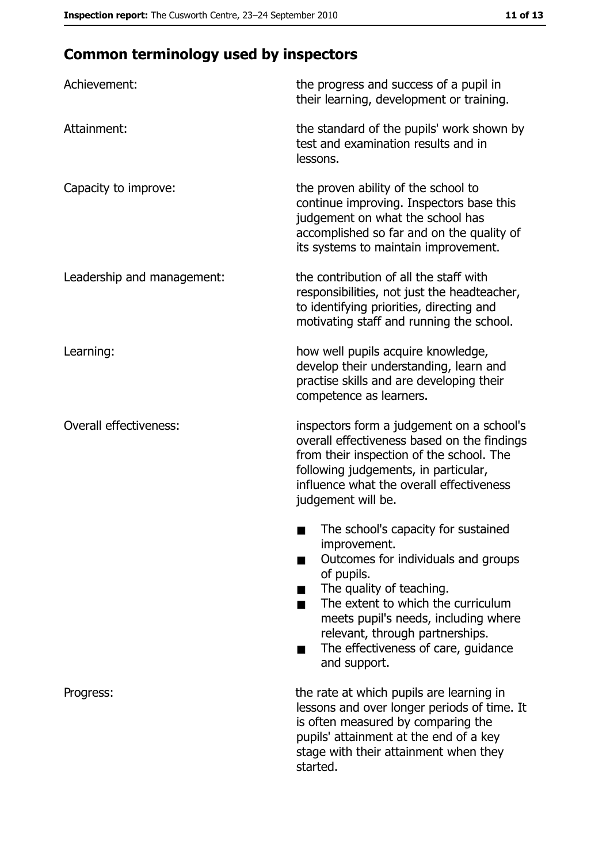# **Common terminology used by inspectors**

| Achievement:                  | the progress and success of a pupil in<br>their learning, development or training.                                                                                                                                                                                                                           |
|-------------------------------|--------------------------------------------------------------------------------------------------------------------------------------------------------------------------------------------------------------------------------------------------------------------------------------------------------------|
| Attainment:                   | the standard of the pupils' work shown by<br>test and examination results and in<br>lessons.                                                                                                                                                                                                                 |
| Capacity to improve:          | the proven ability of the school to<br>continue improving. Inspectors base this<br>judgement on what the school has<br>accomplished so far and on the quality of<br>its systems to maintain improvement.                                                                                                     |
| Leadership and management:    | the contribution of all the staff with<br>responsibilities, not just the headteacher,<br>to identifying priorities, directing and<br>motivating staff and running the school.                                                                                                                                |
| Learning:                     | how well pupils acquire knowledge,<br>develop their understanding, learn and<br>practise skills and are developing their<br>competence as learners.                                                                                                                                                          |
| <b>Overall effectiveness:</b> | inspectors form a judgement on a school's<br>overall effectiveness based on the findings<br>from their inspection of the school. The<br>following judgements, in particular,<br>influence what the overall effectiveness<br>judgement will be.                                                               |
|                               | The school's capacity for sustained<br>improvement.<br>Outcomes for individuals and groups<br>of pupils.<br>The quality of teaching.<br>The extent to which the curriculum<br>meets pupil's needs, including where<br>relevant, through partnerships.<br>The effectiveness of care, guidance<br>and support. |
| Progress:                     | the rate at which pupils are learning in<br>lessons and over longer periods of time. It<br>is often measured by comparing the<br>pupils' attainment at the end of a key<br>stage with their attainment when they<br>started.                                                                                 |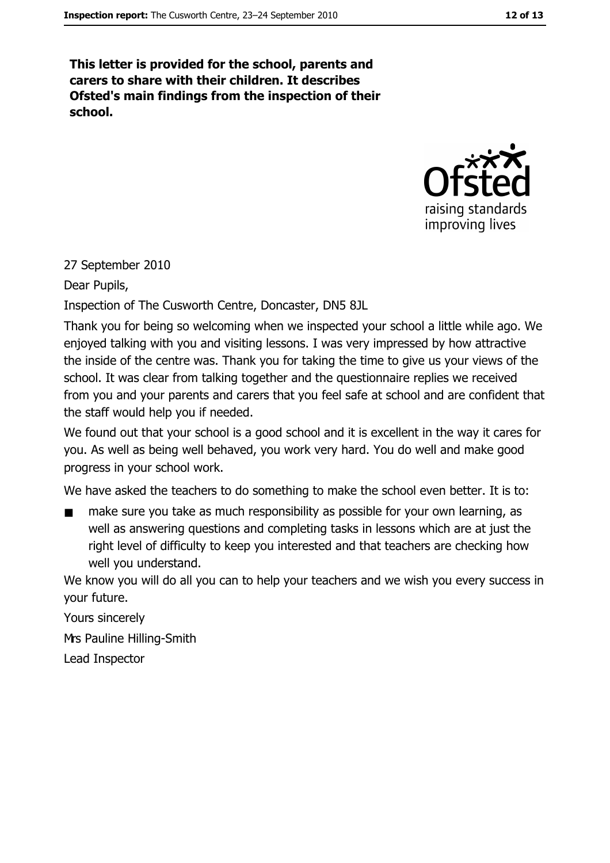This letter is provided for the school, parents and carers to share with their children. It describes Ofsted's main findings from the inspection of their school.



27 September 2010

Dear Pupils,

Inspection of The Cusworth Centre, Doncaster, DN5 8JL

Thank you for being so welcoming when we inspected your school a little while ago. We enjoyed talking with you and visiting lessons. I was very impressed by how attractive the inside of the centre was. Thank you for taking the time to give us your views of the school. It was clear from talking together and the questionnaire replies we received from you and your parents and carers that you feel safe at school and are confident that the staff would help you if needed.

We found out that your school is a good school and it is excellent in the way it cares for you. As well as being well behaved, you work very hard. You do well and make good progress in your school work.

We have asked the teachers to do something to make the school even better. It is to:

make sure you take as much responsibility as possible for your own learning, as well as answering questions and completing tasks in lessons which are at just the right level of difficulty to keep you interested and that teachers are checking how well you understand.

We know you will do all you can to help your teachers and we wish you every success in your future.

Yours sincerely Mrs Pauline Hilling-Smith Lead Inspector